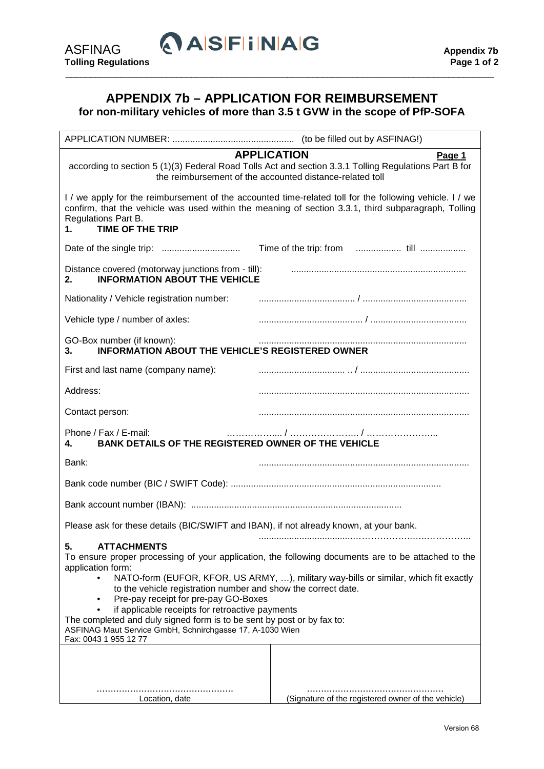## **APPENDIX 7b – APPLICATION FOR REIMBURSEMENT for non-military vehicles of more than 3.5 t GVW in the scope of PfP-SOFA**

\_\_\_\_\_\_\_\_\_\_\_\_\_\_\_\_\_\_\_\_\_\_\_\_\_\_\_\_\_\_\_\_\_\_\_\_\_\_\_\_\_\_\_\_\_\_\_\_\_\_\_\_\_\_\_\_\_\_\_\_\_\_\_\_\_\_\_\_\_\_\_\_\_\_\_\_\_\_\_\_\_\_\_\_\_

| <b>APPLICATION</b><br>Page 1<br>according to section 5 (1)(3) Federal Road Tolls Act and section 3.3.1 Tolling Regulations Part B for<br>the reimbursement of the accounted distance-related toll                                                                                                                                                                                                                                                                                                                                                                      |                                                    |  |  |
|------------------------------------------------------------------------------------------------------------------------------------------------------------------------------------------------------------------------------------------------------------------------------------------------------------------------------------------------------------------------------------------------------------------------------------------------------------------------------------------------------------------------------------------------------------------------|----------------------------------------------------|--|--|
| I / we apply for the reimbursement of the accounted time-related toll for the following vehicle. I / we<br>confirm, that the vehicle was used within the meaning of section 3.3.1, third subparagraph, Tolling<br>Regulations Part B.<br><b>TIME OF THE TRIP</b><br>1.                                                                                                                                                                                                                                                                                                 |                                                    |  |  |
|                                                                                                                                                                                                                                                                                                                                                                                                                                                                                                                                                                        |                                                    |  |  |
| Distance covered (motorway junctions from - till):<br><b>INFORMATION ABOUT THE VEHICLE</b><br>2.                                                                                                                                                                                                                                                                                                                                                                                                                                                                       |                                                    |  |  |
| Nationality / Vehicle registration number:                                                                                                                                                                                                                                                                                                                                                                                                                                                                                                                             |                                                    |  |  |
| Vehicle type / number of axles:                                                                                                                                                                                                                                                                                                                                                                                                                                                                                                                                        |                                                    |  |  |
| GO-Box number (if known):<br><b>INFORMATION ABOUT THE VEHICLE'S REGISTERED OWNER</b><br>3.                                                                                                                                                                                                                                                                                                                                                                                                                                                                             |                                                    |  |  |
| First and last name (company name):                                                                                                                                                                                                                                                                                                                                                                                                                                                                                                                                    |                                                    |  |  |
| Address:                                                                                                                                                                                                                                                                                                                                                                                                                                                                                                                                                               |                                                    |  |  |
| Contact person:                                                                                                                                                                                                                                                                                                                                                                                                                                                                                                                                                        |                                                    |  |  |
| Phone / Fax / E-mail:<br>BANK DETAILS OF THE REGISTERED OWNER OF THE VEHICLE<br>4.                                                                                                                                                                                                                                                                                                                                                                                                                                                                                     |                                                    |  |  |
| Bank:                                                                                                                                                                                                                                                                                                                                                                                                                                                                                                                                                                  |                                                    |  |  |
|                                                                                                                                                                                                                                                                                                                                                                                                                                                                                                                                                                        |                                                    |  |  |
|                                                                                                                                                                                                                                                                                                                                                                                                                                                                                                                                                                        |                                                    |  |  |
| Please ask for these details (BIC/SWIFT and IBAN), if not already known, at your bank.                                                                                                                                                                                                                                                                                                                                                                                                                                                                                 |                                                    |  |  |
| 5.<br><b>ATTACHMENTS</b><br>To ensure proper processing of your application, the following documents are to be attached to the<br>application form:<br>NATO-form (EUFOR, KFOR, US ARMY, ), military way-bills or similar, which fit exactly<br>to the vehicle registration number and show the correct date.<br>Pre-pay receipt for pre-pay GO-Boxes<br>if applicable receipts for retroactive payments<br>The completed and duly signed form is to be sent by post or by fax to:<br>ASFINAG Maut Service GmbH, Schnirchgasse 17, A-1030 Wien<br>Fax: 0043 1 955 12 77 |                                                    |  |  |
|                                                                                                                                                                                                                                                                                                                                                                                                                                                                                                                                                                        |                                                    |  |  |
| Location, date                                                                                                                                                                                                                                                                                                                                                                                                                                                                                                                                                         | (Signature of the registered owner of the vehicle) |  |  |